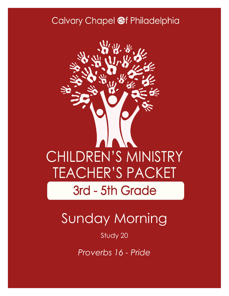### Calvary Chapel @f Philadelphia



# Sunday Morning

#### Study 20

*Proverbs 16 - Pride*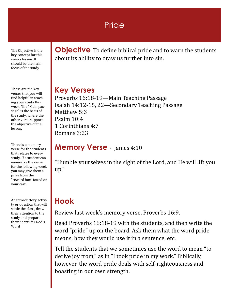#### **Pride**

The Objective is the key concept for this weeks lesson. It should be the main focus of the study

These are the key verses that you will find helpful in teaching your study this week. The "Main passage" is the basis of the study, where the other verse support the objective of the lesson.

There is a memory verse for the students that relates to every study. If a student can memorize the verse for the following week you may give them a prize from the "reward box" found on your cart.

An introductory activity or question that will settle the class, draw their attention to the study and prepare their hearts for God's Word

**Objective** To define biblical pride and to warn the students about its ability to draw us further into sin.

#### **Key Verses**

Proverbs 16:18-19—Main Teaching Passage Isaiah 14:12-15, 22—Secondary Teaching Passage Matthew 5:3 Psalm 10:4 1 Corinthians 4:7 Romans 3:23

#### **Memory Verse** - James 4:10

"Humble yourselves in the sight of the Lord, and He will lift you up."

### **Hook**

Review last week's memory verse, Proverbs 16:9.

Read Proverbs 16:18-19 with the students, and then write the word "pride" up on the board. Ask them what the word pride means, how they would use it in a sentence, etc.

Tell the students that we sometimes use the word to mean "to derive joy from," as in "I took pride in my work." Biblically, however, the word pride deals with self-righteousness and boasting in our own strength.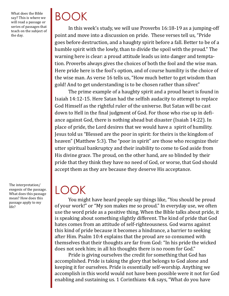What does the Bible say? This is where we will read a passage or series of passages that teach on the subject of the day.

The interpretation/ exegesis of the passage. What does this passage mean? How does this passage apply to my life?

# BOOK

In this week's study, we will use Proverbs 16:18-19 as a jumping-off point and move into a discussion on pride. These verses tell us, "Pride goes before destruction, and a haughty spirit before a fall. Better to be of a humble spirit with the lowly, than to divide the spoil with the proud." The warning here is clear: a proud attitude leads us into danger and temptation. Proverbs always gives the choices of both the fool and the wise man. Here pride here is the fool's option, and of course humility is the choice of the wise man. As verse 16 tells us, "How much better to get wisdom than gold! And to get understanding is to be chosen rather than silver."

The prime example of a haughty spirit and a proud heart is found in Isaiah 14:12-15. Here Satan had the selfish audacity to attempt to replace God Himself as the rightful ruler of the universe. But Satan will be cast down to Hell in the final judgment of God. For those who rise up in defiance against God, there is nothing ahead but disaster (Isaiah 14:22). In place of pride, the Lord desires that we would have a spirit of humility. Jesus told us "Blessed are the poor in spirit: for theirs is the kingdom of heaven" (Matthew 5:3). The "poor in spirit" are those who recognize their utter spiritual bankruptcy and their inability to come to God aside from His divine grace. The proud, on the other hand, are so blinded by their pride that they think they have no need of God, or worse, that God should accept them as they are because they deserve His acceptance.

### LOOK

You might have heard people say things like, "You should be proud of your work!" or "My son makes me so proud." In everyday use, we often use the word pride as a positive thing. When the Bible talks about pride, it is speaking about something slightly different. The kind of pride that God hates comes from an attitude of self-righteousness. God warns against this kind of pride because it becomes a hindrance, a barrier to seeking after Him. Psalm 10:4 explains that the proud are so consumed with themselves that their thoughts are far from God: "In his pride the wicked does not seek him; in all his thoughts there is no room for God."

Pride is giving ourselves the credit for something that God has accomplished. Pride is taking the glory that belongs to God alone and keeping it for ourselves. Pride is essentially self-worship. Anything we accomplish in this world would not have been possible were it not for God enabling and sustaining us. 1 Corinthians 4:& says, "What do you have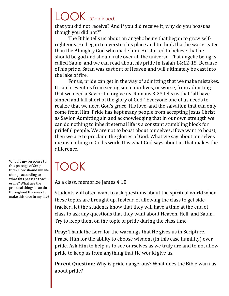# LOOK (Continued)

that you did not receive? And if you did receive it, why do you boast as though you did not?"

The Bible tells us about an angelic being that began to grow selfrighteous. He began to overstep his place and to think that he was greater than the Almighty God who made him. He started to believe that he should be god and should rule over all the universe. That angelic being is called Satan, and we can read about his pride in Isaiah 14:12-15. Because of his pride, Satan was cast out of Heaven and will ultimately be cast into the lake of fire.

For us, pride can get in the way of admitting that we make mistakes. It can prevent us from seeing sin in our lives, or worse, from admitting that we need a Savior to forgive us. Romans 3:23 tells us that "all have sinned and fall short of the glory of God." Everyone one of us needs to realize that we need God's grace, His love, and the salvation that can only come from Him. Pride has kept many people from accepting Jesus Christ as Savior. Admitting sin and acknowledging that in our own strength we can do nothing to inherit eternal life is a constant stumbling block for prideful people. We are not to boast about ourselves; if we want to boast, then we are to proclaim the glories of God. What we say about ourselves means nothing in God's work. It is what God says about us that makes the difference.

### TOOK

As a class, memorize James 4:10

Students will often want to ask questions about the spiritual world when these topics are brought up. Instead of allowing the class to get sidetracked, let the students know that they will have a time at the end of class to ask any questions that they want about Heaven, Hell, and Satan. Try to keep them on the topic of pride during the class time.

**Pray**: Thank the Lord for the warnings that He gives us in Scripture. Praise Him for the ability to choose wisdom (in this case humility) over pride. Ask Him to help us to see ourselves as we truly are and to not allow pride to keep us from anything that He would give us.

**Parent Question:** Why is pride dangerous? What does the Bible warn us about pride?

What is my response to this passage of Scripture? How should my life change according to what this passage teaches me? What are the practical things I can do throughout the week to make this true in my life?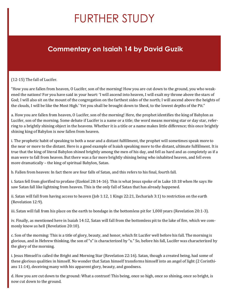# FURTHER STUDY

#### **Commentary on Isaiah 14 by David Guzik**

#### (12-15) The fall of Lucifer.

"How you are fallen from heaven, O Lucifer, son of the morning! How you are cut down to the ground, you who weakened the nations! For you have said in your heart: 'I will ascend into heaven, I will exalt my throne above the stars of God; I will also sit on the mount of the congregation on the farthest sides of the north; I will ascend above the heights of the clouds, I will be like the Most High.' Yet you shall be brought down to Sheol, to the lowest depths of the Pit."

a. How you are fallen from heaven, O Lucifer, son of the morning! Here, the prophet identifies the king of Babylon as Lucifer, son of the morning. Some debate if Lucifer is a name or a title; the word means morning star or day star, referring to a brightly shining object in the heavens. Whether it is a title or a name makes little difference; this once brightly shining king of Babylon is now fallen from heaven.

i. The prophetic habit of speaking to both a near and a distant fulfillment, the prophet will sometimes speak more to the near or more to the distant. Here is a good example of Isaiah speaking more to the distant, ultimate fulfillment. It is true that the king of literal Babylon shined brightly among the men of his day, and fell as hard and as completely as if a man were to fall from heaven. But there was a far more brightly shining being who inhabited heaven, and fell even more dramatically – the king of spiritual Babylon, Satan.

b. Fallen from heaven: In fact there are four falls of Satan, and this refers to his final, fourth fall.

i. Satan fell from glorified to profane (Ezekiel 28:14-16). This is what Jesus spoke of in Luke 10:18 when He says He saw Satan fall like lightning from heaven. This is the only fall of Satan that has already happened.

ii. Satan will fall from having access to heaven (Job 1:12, 1 Kings 22:21, Zechariah 3:1) to restriction on the earth (Revelation 12:9).

iii. Satan will fall from his place on the earth to bondage in the bottomless pit for 1,000 years (Revelation 20:1-3).

iv. Finally, as mentioned here in Isaiah 14:12, Satan will fall from the bottomless pit to the lake of fire, which we commonly know as hell (Revelation 20:10).

c. Son of the morning: This is a title of glory, beauty, and honor, which fit Lucifer well before his fall. The morning is glorious, and in Hebrew thinking, the son of "x" is characterized by "x." So, before his fall, Lucifer was characterized by the glory of the morning.

i. Jesus Himself is called the Bright and Morning Star (Revelation 22:16). Satan, though a created being, had some of these glorious qualities in himself. No wonder that Satan himself transforms himself into an angel of light (2 Corinthians 11:14), deceiving many with his apparent glory, beauty, and goodness.

d. How you are cut down to the ground: What a contrast! This being, once so high, once so shining, once so bright, is now cut down to the ground.